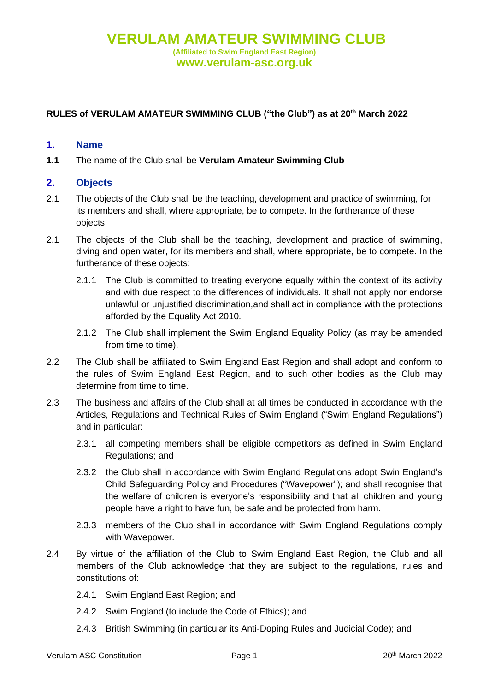## **RULES of VERULAM AMATEUR SWIMMING CLUB ("the Club") as at 20th March 2022**

#### **1. Name**

**1.1** The name of the Club shall be **Verulam Amateur Swimming Club**

#### **2. Objects**

- 2.1 The objects of the Club shall be the teaching, development and practice of swimming, for its members and shall, where appropriate, be to compete. In the furtherance of these objects:
- 2.1 The objects of the Club shall be the teaching, development and practice of swimming, diving and open water, for its members and shall, where appropriate, be to compete. In the furtherance of these objects:
	- 2.1.1 The Club is committed to treating everyone equally within the context of its activity and with due respect to the differences of individuals. It shall not apply nor endorse unlawful or unjustified discrimination,and shall act in compliance with the protections afforded by the Equality Act 2010.
	- 2.1.2 The Club shall implement the Swim England Equality Policy (as may be amended from time to time).
- 2.2 The Club shall be affiliated to Swim England East Region and shall adopt and conform to the rules of Swim England East Region, and to such other bodies as the Club may determine from time to time.
- 2.3 The business and affairs of the Club shall at all times be conducted in accordance with the Articles, Regulations and Technical Rules of Swim England ("Swim England Regulations") and in particular:
	- 2.3.1 all competing members shall be eligible competitors as defined in Swim England Regulations; and
	- 2.3.2 the Club shall in accordance with Swim England Regulations adopt Swin England's Child Safeguarding Policy and Procedures ("Wavepower"); and shall recognise that the welfare of children is everyone's responsibility and that all children and young people have a right to have fun, be safe and be protected from harm.
	- 2.3.3 members of the Club shall in accordance with Swim England Regulations comply with Wavepower.
- 2.4 By virtue of the affiliation of the Club to Swim England East Region, the Club and all members of the Club acknowledge that they are subject to the regulations, rules and constitutions of:
	- 2.4.1 Swim England East Region; and
	- 2.4.2 Swim England (to include the Code of Ethics); and
	- 2.4.3 British Swimming (in particular its Anti-Doping Rules and Judicial Code); and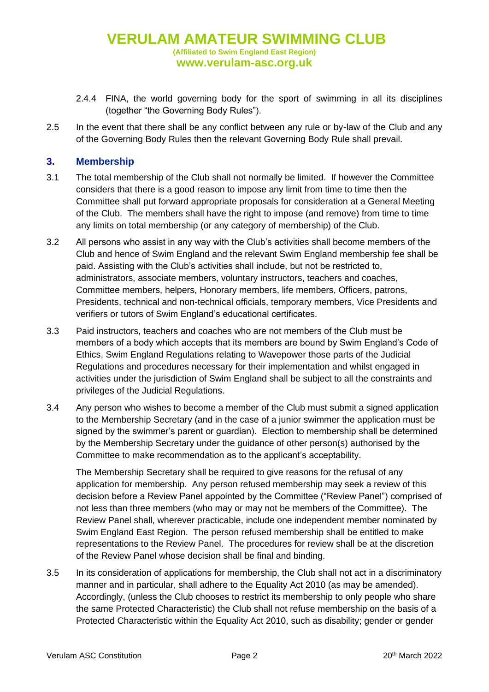- 2.4.4 FINA, the world governing body for the sport of swimming in all its disciplines (together "the Governing Body Rules").
- 2.5 In the event that there shall be any conflict between any rule or by-law of the Club and any of the Governing Body Rules then the relevant Governing Body Rule shall prevail.

### **3. Membership**

- 3.1 The total membership of the Club shall not normally be limited. If however the Committee considers that there is a good reason to impose any limit from time to time then the Committee shall put forward appropriate proposals for consideration at a General Meeting of the Club. The members shall have the right to impose (and remove) from time to time any limits on total membership (or any category of membership) of the Club.
- <span id="page-1-0"></span>3.2 All persons who assist in any way with the Club's activities shall become members of the Club and hence of Swim England and the relevant Swim England membership fee shall be paid. Assisting with the Club's activities shall include, but not be restricted to, administrators, associate members, voluntary instructors, teachers and coaches, Committee members, helpers, Honorary members, life members, Officers, patrons, Presidents, technical and non-technical officials, temporary members, Vice Presidents and verifiers or tutors of Swim England's educational certificates.
- 3.3 Paid instructors, teachers and coaches who are not members of the Club must be members of a body which accepts that its members are bound by Swim England's Code of Ethics, Swim England Regulations relating to Wavepower those parts of the Judicial Regulations and procedures necessary for their implementation and whilst engaged in activities under the jurisdiction of Swim England shall be subject to all the constraints and privileges of the Judicial Regulations.
- 3.4 Any person who wishes to become a member of the Club must submit a signed application to the Membership Secretary (and in the case of a junior swimmer the application must be signed by the swimmer's parent or guardian). Election to membership shall be determined by the Membership Secretary under the guidance of other person(s) authorised by the Committee to make recommendation as to the applicant's acceptability.

The Membership Secretary shall be required to give reasons for the refusal of any application for membership. Any person refused membership may seek a review of this decision before a Review Panel appointed by the Committee ("Review Panel") comprised of not less than three members (who may or may not be members of the Committee). The Review Panel shall, wherever practicable, include one independent member nominated by Swim England East Region. The person refused membership shall be entitled to make representations to the Review Panel. The procedures for review shall be at the discretion of the Review Panel whose decision shall be final and binding.

3.5 In its consideration of applications for membership, the Club shall not act in a discriminatory manner and in particular, shall adhere to the Equality Act 2010 (as may be amended). Accordingly, (unless the Club chooses to restrict its membership to only people who share the same Protected Characteristic) the Club shall not refuse membership on the basis of a Protected Characteristic within the Equality Act 2010, such as disability; gender or gender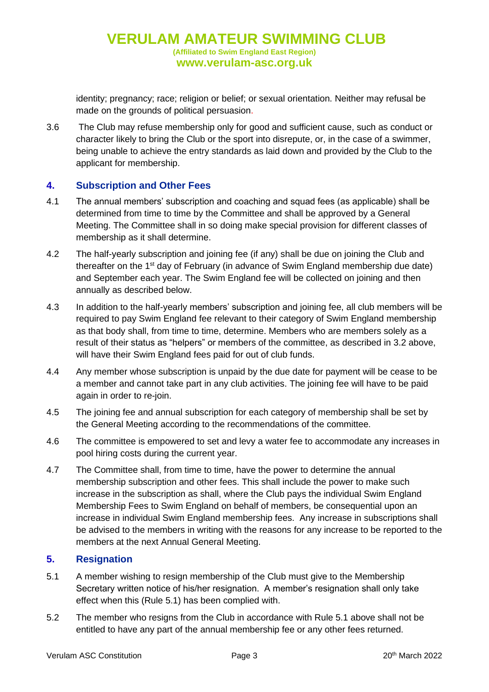identity; pregnancy; race; religion or belief; or sexual orientation. Neither may refusal be made on the grounds of political persuasion.

3.6 The Club may refuse membership only for good and sufficient cause, such as conduct or character likely to bring the Club or the sport into disrepute, or, in the case of a swimmer, being unable to achieve the entry standards as laid down and provided by the Club to the applicant for membership.

# **4. Subscription and Other Fees**

- 4.1 The annual members' subscription and coaching and squad fees (as applicable) shall be determined from time to time by the Committee and shall be approved by a General Meeting. The Committee shall in so doing make special provision for different classes of membership as it shall determine.
- 4.2 The half-yearly subscription and joining fee (if any) shall be due on joining the Club and thereafter on the 1<sup>st</sup> day of February (in advance of Swim England membership due date) and September each year. The Swim England fee will be collected on joining and then annually as described below.
- 4.3 In addition to the half-yearly members' subscription and joining fee, all club members will be required to pay Swim England fee relevant to their category of Swim England membership as that body shall, from time to time, determine. Members who are members solely as a result of their status as "helpers" or members of the committee, as described in [3.2 above,](#page-1-0) will have their Swim England fees paid for out of club funds.
- 4.4 Any member whose subscription is unpaid by the due date for payment will be cease to be a member and cannot take part in any club activities. The joining fee will have to be paid again in order to re-join.
- 4.5 The joining fee and annual subscription for each category of membership shall be set by the General Meeting according to the recommendations of the committee.
- 4.6 The committee is empowered to set and levy a water fee to accommodate any increases in pool hiring costs during the current year.
- 4.7 The Committee shall, from time to time, have the power to determine the annual membership subscription and other fees. This shall include the power to make such increase in the subscription as shall, where the Club pays the individual Swim England Membership Fees to Swim England on behalf of members, be consequential upon an increase in individual Swim England membership fees. Any increase in subscriptions shall be advised to the members in writing with the reasons for any increase to be reported to the members at the next Annual General Meeting.

# **5. Resignation**

- 5.1 A member wishing to resign membership of the Club must give to the Membership Secretary written notice of his/her resignation. A member's resignation shall only take effect when this (Rule 5.1) has been complied with.
- 5.2 The member who resigns from the Club in accordance with Rule 5.1 above shall not be entitled to have any part of the annual membership fee or any other fees returned.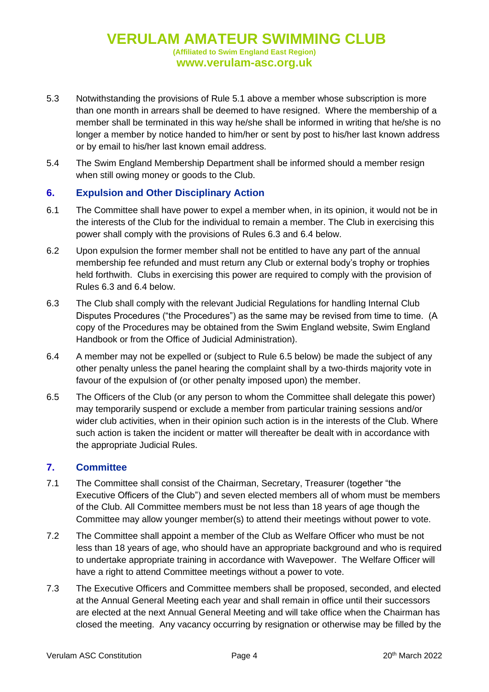# **VERULAM AMATEUR SWIMMING CLUB (Affiliated to Swim England East Region) www.verulam-asc.org.uk**

- 5.3 Notwithstanding the provisions of Rule 5.1 above a member whose subscription is more than one month in arrears shall be deemed to have resigned. Where the membership of a member shall be terminated in this way he/she shall be informed in writing that he/she is no longer a member by notice handed to him/her or sent by post to his/her last known address or by email to his/her last known email address.
- 5.4 The Swim England Membership Department shall be informed should a member resign when still owing money or goods to the Club.

# **6. Expulsion and Other Disciplinary Action**

- 6.1 The Committee shall have power to expel a member when, in its opinion, it would not be in the interests of the Club for the individual to remain a member. The Club in exercising this power shall comply with the provisions of Rules 6.3 and 6.4 below.
- 6.2 Upon expulsion the former member shall not be entitled to have any part of the annual membership fee refunded and must return any Club or external body's trophy or trophies held forthwith. Clubs in exercising this power are required to comply with the provision of Rules 6.3 and 6.4 below.
- 6.3 The Club shall comply with the relevant Judicial Regulations for handling Internal Club Disputes Procedures ("the Procedures") as the same may be revised from time to time. (A copy of the Procedures may be obtained from the Swim England website, Swim England Handbook or from the Office of Judicial Administration).
- 6.4 A member may not be expelled or (subject to Rule 6.5 below) be made the subject of any other penalty unless the panel hearing the complaint shall by a two-thirds majority vote in favour of the expulsion of (or other penalty imposed upon) the member.
- 6.5 The Officers of the Club (or any person to whom the Committee shall delegate this power) may temporarily suspend or exclude a member from particular training sessions and/or wider club activities, when in their opinion such action is in the interests of the Club. Where such action is taken the incident or matter will thereafter be dealt with in accordance with the appropriate Judicial Rules.

#### **7. Committee**

- 7.1 The Committee shall consist of the Chairman, Secretary, Treasurer (together "the Executive Officers of the Club") and seven elected members all of whom must be members of the Club. All Committee members must be not less than 18 years of age though the Committee may allow younger member(s) to attend their meetings without power to vote.
- 7.2 The Committee shall appoint a member of the Club as Welfare Officer who must be not less than 18 years of age, who should have an appropriate background and who is required to undertake appropriate training in accordance with Wavepower. The Welfare Officer will have a right to attend Committee meetings without a power to vote.
- 7.3 The Executive Officers and Committee members shall be proposed, seconded, and elected at the Annual General Meeting each year and shall remain in office until their successors are elected at the next Annual General Meeting and will take office when the Chairman has closed the meeting. Any vacancy occurring by resignation or otherwise may be filled by the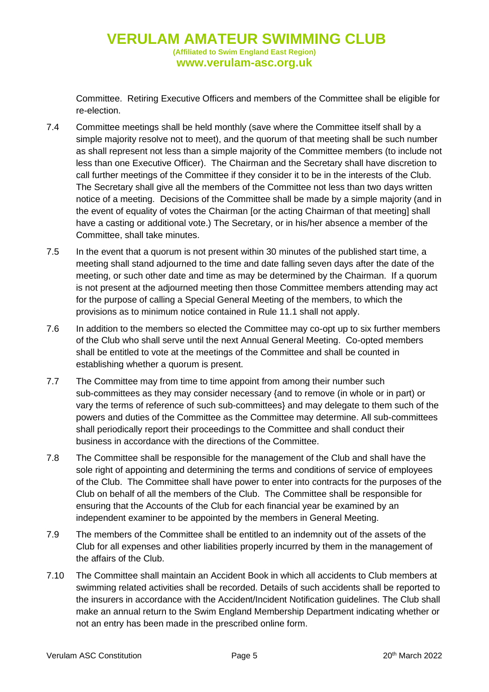# **VERULAM AMATEUR SWIMMING CLUB (Affiliated to Swim England East Region) www.verulam-asc.org.uk**

Committee. Retiring Executive Officers and members of the Committee shall be eligible for re-election.

- 7.4 Committee meetings shall be held monthly (save where the Committee itself shall by a simple majority resolve not to meet), and the quorum of that meeting shall be such number as shall represent not less than a simple majority of the Committee members (to include not less than one Executive Officer). The Chairman and the Secretary shall have discretion to call further meetings of the Committee if they consider it to be in the interests of the Club. The Secretary shall give all the members of the Committee not less than two days written notice of a meeting. Decisions of the Committee shall be made by a simple majority (and in the event of equality of votes the Chairman [or the acting Chairman of that meeting] shall have a casting or additional vote.) The Secretary, or in his/her absence a member of the Committee, shall take minutes.
- 7.5 In the event that a quorum is not present within 30 minutes of the published start time, a meeting shall stand adjourned to the time and date falling seven days after the date of the meeting, or such other date and time as may be determined by the Chairman. If a quorum is not present at the adjourned meeting then those Committee members attending may act for the purpose of calling a Special General Meeting of the members, to which the provisions as to minimum notice contained in Rule 11.1 shall not apply.
- 7.6 In addition to the members so elected the Committee may co-opt up to six further members of the Club who shall serve until the next Annual General Meeting. Co-opted members shall be entitled to vote at the meetings of the Committee and shall be counted in establishing whether a quorum is present.
- 7.7 The Committee may from time to time appoint from among their number such sub-committees as they may consider necessary {and to remove (in whole or in part) or vary the terms of reference of such sub-committees} and may delegate to them such of the powers and duties of the Committee as the Committee may determine. All sub-committees shall periodically report their proceedings to the Committee and shall conduct their business in accordance with the directions of the Committee.
- 7.8 The Committee shall be responsible for the management of the Club and shall have the sole right of appointing and determining the terms and conditions of service of employees of the Club. The Committee shall have power to enter into contracts for the purposes of the Club on behalf of all the members of the Club. The Committee shall be responsible for ensuring that the Accounts of the Club for each financial year be examined by an independent examiner to be appointed by the members in General Meeting.
- 7.9 The members of the Committee shall be entitled to an indemnity out of the assets of the Club for all expenses and other liabilities properly incurred by them in the management of the affairs of the Club.
- 7.10 The Committee shall maintain an Accident Book in which all accidents to Club members at swimming related activities shall be recorded. Details of such accidents shall be reported to the insurers in accordance with the Accident/Incident Notification guidelines. The Club shall make an annual return to the Swim England Membership Department indicating whether or not an entry has been made in the prescribed online form.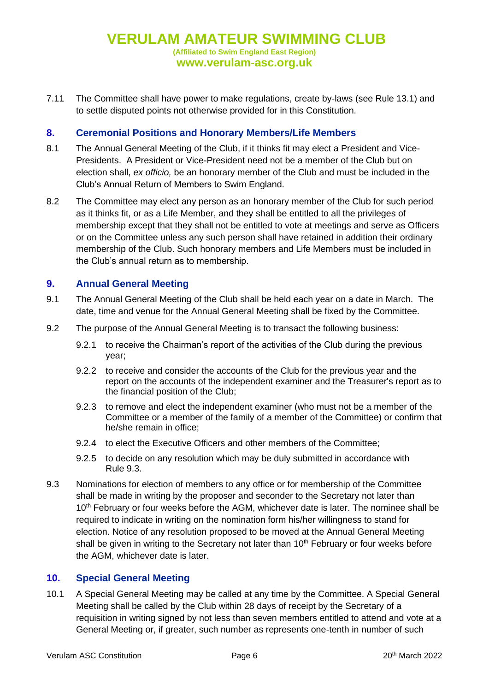7.11 The Committee shall have power to make regulations, create by-laws (see Rule 13.1) and to settle disputed points not otherwise provided for in this Constitution.

## **8. Ceremonial Positions and Honorary Members/Life Members**

- 8.1 The Annual General Meeting of the Club, if it thinks fit may elect a President and Vice-Presidents. A President or Vice-President need not be a member of the Club but on election shall, *ex officio,* be an honorary member of the Club and must be included in the Club's Annual Return of Members to Swim England.
- 8.2 The Committee may elect any person as an honorary member of the Club for such period as it thinks fit, or as a Life Member, and they shall be entitled to all the privileges of membership except that they shall not be entitled to vote at meetings and serve as Officers or on the Committee unless any such person shall have retained in addition their ordinary membership of the Club. Such honorary members and Life Members must be included in the Club's annual return as to membership.

## **9. Annual General Meeting**

- 9.1 The Annual General Meeting of the Club shall be held each year on a date in March. The date, time and venue for the Annual General Meeting shall be fixed by the Committee.
- 9.2 The purpose of the Annual General Meeting is to transact the following business:
	- 9.2.1 to receive the Chairman's report of the activities of the Club during the previous year;
	- 9.2.2 to receive and consider the accounts of the Club for the previous year and the report on the accounts of the independent examiner and the Treasurer's report as to the financial position of the Club;
	- 9.2.3 to remove and elect the independent examiner (who must not be a member of the Committee or a member of the family of a member of the Committee) or confirm that he/she remain in office;
	- 9.2.4 to elect the Executive Officers and other members of the Committee;
	- 9.2.5 to decide on any resolution which may be duly submitted in accordance with Rule 9.3.
- 9.3 Nominations for election of members to any office or for membership of the Committee shall be made in writing by the proposer and seconder to the Secretary not later than 10<sup>th</sup> February or four weeks before the AGM, whichever date is later. The nominee shall be required to indicate in writing on the nomination form his/her willingness to stand for election. Notice of any resolution proposed to be moved at the Annual General Meeting shall be given in writing to the Secretary not later than  $10<sup>th</sup>$  February or four weeks before the AGM, whichever date is later.

#### **10. Special General Meeting**

10.1 A Special General Meeting may be called at any time by the Committee. A Special General Meeting shall be called by the Club within 28 days of receipt by the Secretary of a requisition in writing signed by not less than seven members entitled to attend and vote at a General Meeting or, if greater, such number as represents one-tenth in number of such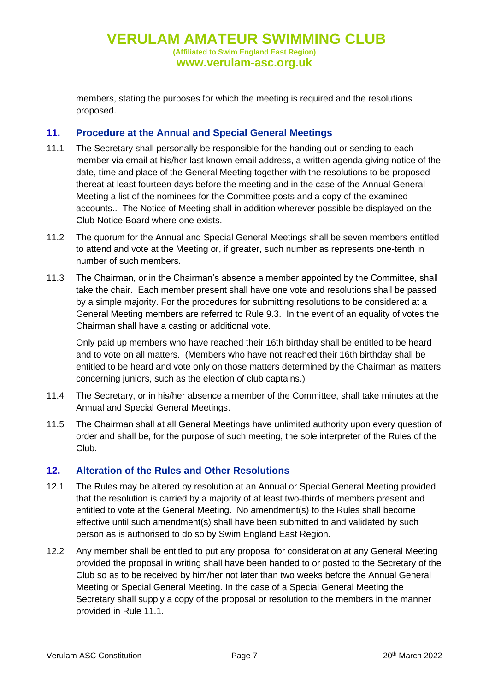**VERULAM AMATEUR SWIMMING CLUB (Affiliated to Swim England East Region) www.verulam-asc.org.uk**

members, stating the purposes for which the meeting is required and the resolutions proposed.

## **11. Procedure at the Annual and Special General Meetings**

- 11.1 The Secretary shall personally be responsible for the handing out or sending to each member via email at his/her last known email address, a written agenda giving notice of the date, time and place of the General Meeting together with the resolutions to be proposed thereat at least fourteen days before the meeting and in the case of the Annual General Meeting a list of the nominees for the Committee posts and a copy of the examined accounts.. The Notice of Meeting shall in addition wherever possible be displayed on the Club Notice Board where one exists.
- 11.2 The quorum for the Annual and Special General Meetings shall be seven members entitled to attend and vote at the Meeting or, if greater, such number as represents one-tenth in number of such members.
- 11.3 The Chairman, or in the Chairman's absence a member appointed by the Committee, shall take the chair. Each member present shall have one vote and resolutions shall be passed by a simple majority. For the procedures for submitting resolutions to be considered at a General Meeting members are referred to Rule 9.3. In the event of an equality of votes the Chairman shall have a casting or additional vote.

Only paid up members who have reached their 16th birthday shall be entitled to be heard and to vote on all matters. (Members who have not reached their 16th birthday shall be entitled to be heard and vote only on those matters determined by the Chairman as matters concerning juniors, such as the election of club captains.)

- 11.4 The Secretary, or in his/her absence a member of the Committee, shall take minutes at the Annual and Special General Meetings.
- 11.5 The Chairman shall at all General Meetings have unlimited authority upon every question of order and shall be, for the purpose of such meeting, the sole interpreter of the Rules of the Club.

#### **12. Alteration of the Rules and Other Resolutions**

- 12.1 The Rules may be altered by resolution at an Annual or Special General Meeting provided that the resolution is carried by a majority of at least two-thirds of members present and entitled to vote at the General Meeting. No amendment(s) to the Rules shall become effective until such amendment(s) shall have been submitted to and validated by such person as is authorised to do so by Swim England East Region.
- 12.2 Any member shall be entitled to put any proposal for consideration at any General Meeting provided the proposal in writing shall have been handed to or posted to the Secretary of the Club so as to be received by him/her not later than two weeks before the Annual General Meeting or Special General Meeting. In the case of a Special General Meeting the Secretary shall supply a copy of the proposal or resolution to the members in the manner provided in Rule 11.1.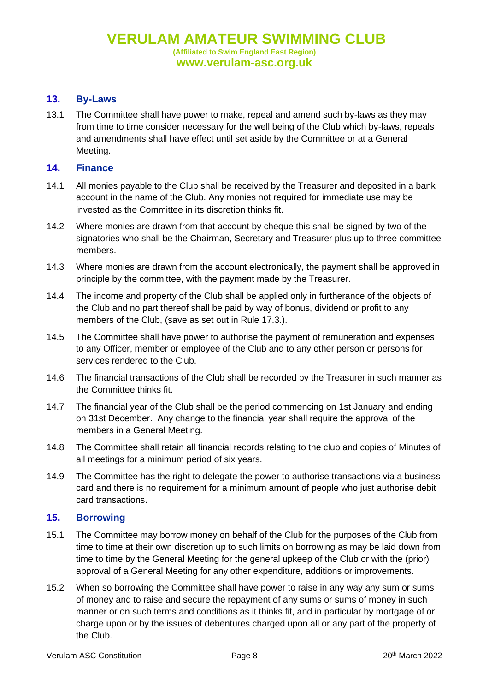## **13. By-Laws**

13.1 The Committee shall have power to make, repeal and amend such by-laws as they may from time to time consider necessary for the well being of the Club which by-laws, repeals and amendments shall have effect until set aside by the Committee or at a General Meeting.

### **14. Finance**

- 14.1 All monies payable to the Club shall be received by the Treasurer and deposited in a bank account in the name of the Club. Any monies not required for immediate use may be invested as the Committee in its discretion thinks fit.
- 14.2 Where monies are drawn from that account by cheque this shall be signed by two of the signatories who shall be the Chairman, Secretary and Treasurer plus up to three committee members.
- 14.3 Where monies are drawn from the account electronically, the payment shall be approved in principle by the committee, with the payment made by the Treasurer.
- 14.4 The income and property of the Club shall be applied only in furtherance of the objects of the Club and no part thereof shall be paid by way of bonus, dividend or profit to any members of the Club, (save as set out in Rule 17.3.).
- 14.5 The Committee shall have power to authorise the payment of remuneration and expenses to any Officer, member or employee of the Club and to any other person or persons for services rendered to the Club.
- 14.6 The financial transactions of the Club shall be recorded by the Treasurer in such manner as the Committee thinks fit.
- 14.7 The financial year of the Club shall be the period commencing on 1st January and ending on 31st December. Any change to the financial year shall require the approval of the members in a General Meeting.
- 14.8 The Committee shall retain all financial records relating to the club and copies of Minutes of all meetings for a minimum period of six years.
- 14.9 The Committee has the right to delegate the power to authorise transactions via a business card and there is no requirement for a minimum amount of people who just authorise debit card transactions.

# **15. Borrowing**

- 15.1 The Committee may borrow money on behalf of the Club for the purposes of the Club from time to time at their own discretion up to such limits on borrowing as may be laid down from time to time by the General Meeting for the general upkeep of the Club or with the (prior) approval of a General Meeting for any other expenditure, additions or improvements.
- 15.2 When so borrowing the Committee shall have power to raise in any way any sum or sums of money and to raise and secure the repayment of any sums or sums of money in such manner or on such terms and conditions as it thinks fit, and in particular by mortgage of or charge upon or by the issues of debentures charged upon all or any part of the property of the Club.